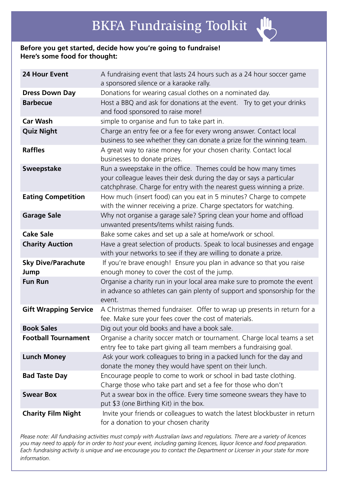# **Before you get started, decide how you're going to fundraise! Here's some food for thought:**

| <b>24 Hour Event</b>              | A fundraising event that lasts 24 hours such as a 24 hour soccer game<br>a sponsored silence or a karaoke rally.                                                                                                |
|-----------------------------------|-----------------------------------------------------------------------------------------------------------------------------------------------------------------------------------------------------------------|
| <b>Dress Down Day</b>             | Donations for wearing casual clothes on a nominated day.                                                                                                                                                        |
| <b>Barbecue</b>                   | Host a BBQ and ask for donations at the event. Try to get your drinks<br>and food sponsored to raise more!                                                                                                      |
| <b>Car Wash</b>                   | simple to organise and fun to take part in.                                                                                                                                                                     |
| <b>Quiz Night</b>                 | Charge an entry fee or a fee for every wrong answer. Contact local<br>business to see whether they can donate a prize for the winning team.                                                                     |
| <b>Raffles</b>                    | A great way to raise money for your chosen charity. Contact local<br>businesses to donate prizes.                                                                                                               |
| <b>Sweepstake</b>                 | Run a sweepstake in the office. Themes could be how many times<br>your colleague leaves their desk during the day or says a particular<br>catchphrase. Charge for entry with the nearest guess winning a prize. |
| <b>Eating Competition</b>         | How much (insert food) can you eat in 5 minutes? Charge to compete<br>with the winner receiving a prize. Charge spectators for watching.                                                                        |
| <b>Garage Sale</b>                | Why not organise a garage sale? Spring clean your home and offload<br>unwanted presents/items whilst raising funds.                                                                                             |
| <b>Cake Sale</b>                  | Bake some cakes and set up a sale at home/work or school.                                                                                                                                                       |
| <b>Charity Auction</b>            | Have a great selection of products. Speak to local businesses and engage<br>with your networks to see if they are willing to donate a prize.                                                                    |
| <b>Sky Dive/Parachute</b><br>Jump | If you're brave enough! Ensure you plan in advance so that you raise<br>enough money to cover the cost of the jump.                                                                                             |
| <b>Fun Run</b>                    | Organise a charity run in your local area make sure to promote the event<br>in advance so athletes can gain plenty of support and sponsorship for the<br>event.                                                 |
| <b>Gift Wrapping Service</b>      | A Christmas themed fundraiser. Offer to wrap up presents in return for a<br>fee. Make sure your fees cover the cost of materials.                                                                               |
| <b>Book Sales</b>                 | Dig out your old books and have a book sale.                                                                                                                                                                    |
| <b>Football Tournament</b>        | Organise a charity soccer match or tournament. Charge local teams a set<br>entry fee to take part giving all team members a fundraising goal.                                                                   |
| <b>Lunch Money</b>                | Ask your work colleagues to bring in a packed lunch for the day and<br>donate the money they would have spent on their lunch.                                                                                   |
| <b>Bad Taste Day</b>              | Encourage people to come to work or school in bad taste clothing.<br>Charge those who take part and set a fee for those who don't                                                                               |
| <b>Swear Box</b>                  | Put a swear box in the office. Every time someone swears they have to<br>put \$3 (one Birthing Kit) in the box.                                                                                                 |
| <b>Charity Film Night</b>         | Invite your friends or colleagues to watch the latest blockbuster in return<br>for a donation to your chosen charity                                                                                            |

*Please note: All fundraising activities must comply with Australian laws and regulations. There are a variety of licences you may need to apply for in order to host your event, including gaming licences, liquor licence and food preparation. Each fundraising activity is unique and we encourage you to contact the Department or Licenser in your state for more information*.